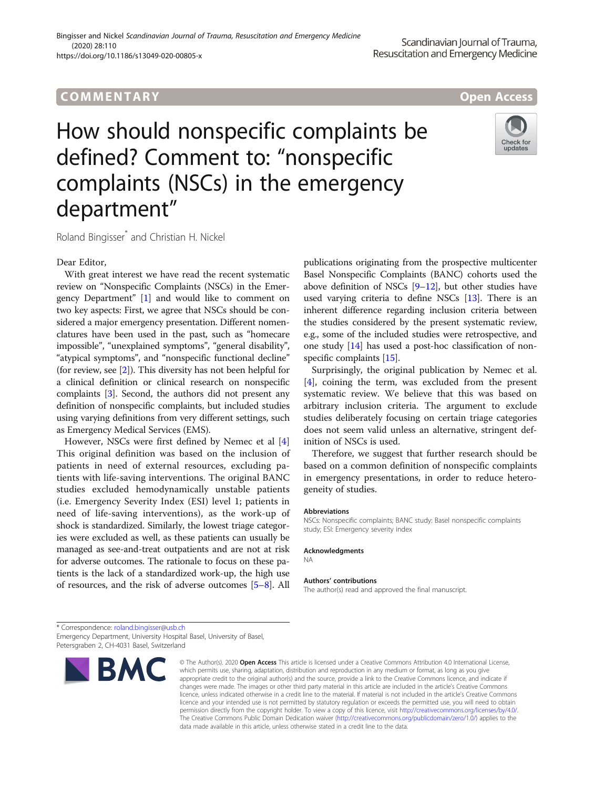### COMM EN TARY Open Access

# How should nonspecific complaints be defined? Comment to: "nonspecific complaints (NSCs) in the emergency department"



Roland Bingisser\* and Christian H. Nickel

#### Dear Editor,

With great interest we have read the recent systematic review on "Nonspecific Complaints (NSCs) in the Emergency Department" [[1\]](#page-1-0) and would like to comment on two key aspects: First, we agree that NSCs should be considered a major emergency presentation. Different nomenclatures have been used in the past, such as "homecare impossible", "unexplained symptoms", "general disability", "atypical symptoms", and "nonspecific functional decline" (for review, see [[2](#page-1-0)]). This diversity has not been helpful for a clinical definition or clinical research on nonspecific complaints [[3\]](#page-1-0). Second, the authors did not present any definition of nonspecific complaints, but included studies using varying definitions from very different settings, such as Emergency Medical Services (EMS).

However, NSCs were first defined by Nemec et al [\[4](#page-1-0)] This original definition was based on the inclusion of patients in need of external resources, excluding patients with life-saving interventions. The original BANC studies excluded hemodynamically unstable patients (i.e. Emergency Severity Index (ESI) level 1; patients in need of life-saving interventions), as the work-up of shock is standardized. Similarly, the lowest triage categories were excluded as well, as these patients can usually be managed as see-and-treat outpatients and are not at risk for adverse outcomes. The rationale to focus on these patients is the lack of a standardized work-up, the high use of resources, and the risk of adverse outcomes [\[5](#page-1-0)–[8\]](#page-1-0). All

publications originating from the prospective multicenter Basel Nonspecific Complaints (BANC) cohorts used the above definition of NSCs  $[9-12]$  $[9-12]$  $[9-12]$  $[9-12]$ , but other studies have used varying criteria to define NSCs [[13](#page-1-0)]. There is an inherent difference regarding inclusion criteria between the studies considered by the present systematic review, e.g., some of the included studies were retrospective, and one study [\[14\]](#page-1-0) has used a post-hoc classification of nonspecific complaints [\[15](#page-1-0)].

Surprisingly, the original publication by Nemec et al. [[4\]](#page-1-0), coining the term, was excluded from the present systematic review. We believe that this was based on arbitrary inclusion criteria. The argument to exclude studies deliberately focusing on certain triage categories does not seem valid unless an alternative, stringent definition of NSCs is used.

Therefore, we suggest that further research should be based on a common definition of nonspecific complaints in emergency presentations, in order to reduce heterogeneity of studies.

#### Abbreviations

NSCs: Nonspecific complaints; BANC study: Basel nonspecific complaints study; ESI: Emergency severity index

#### Acknowledgments

NA

#### Authors' contributions

The author(s) read and approved the final manuscript.

\* Correspondence: [roland.bingisser@usb.ch](mailto:roland.bingisser@usb.ch) Emergency Department, University Hospital Basel, University of Basel, Petersgraben 2, CH-4031 Basel, Switzerland



<sup>©</sup> The Author(s), 2020 **Open Access** This article is licensed under a Creative Commons Attribution 4.0 International License, which permits use, sharing, adaptation, distribution and reproduction in any medium or format, as long as you give appropriate credit to the original author(s) and the source, provide a link to the Creative Commons licence, and indicate if changes were made. The images or other third party material in this article are included in the article's Creative Commons licence, unless indicated otherwise in a credit line to the material. If material is not included in the article's Creative Commons licence and your intended use is not permitted by statutory regulation or exceeds the permitted use, you will need to obtain permission directly from the copyright holder. To view a copy of this licence, visit [http://creativecommons.org/licenses/by/4.0/.](http://creativecommons.org/licenses/by/4.0/) The Creative Commons Public Domain Dedication waiver [\(http://creativecommons.org/publicdomain/zero/1.0/](http://creativecommons.org/publicdomain/zero/1.0/)) applies to the data made available in this article, unless otherwise stated in a credit line to the data.